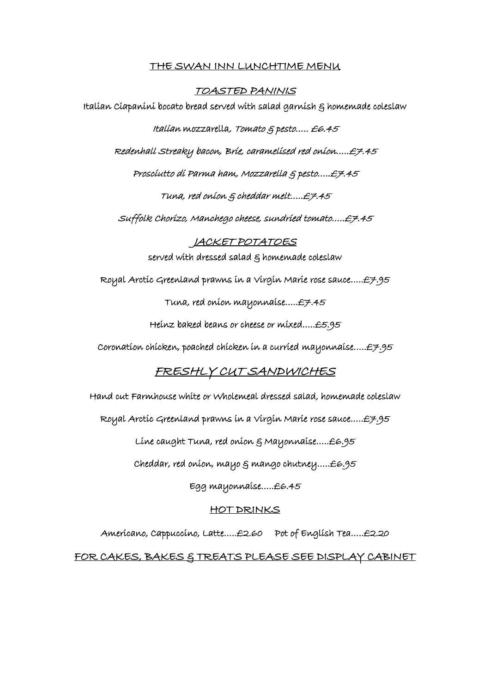## THE SWAN INN LUNCHTIME MENU

TOASTED PANINIS Italian Ciapanini bocato bread served with salad garnish & homemade coleslaw Italian mozzarella, Tomato & pesto….. £6.45 Redenhall Streaky bacon, Brie, caramelised red onion…..£7.45 Prosciutto di Parma ham, Mozzarella & pesto…..£7.45 Tuna, red onion & cheddar melt…..£7.45 Suffolk Chorizo, Manchego cheese, sundried tomato…..£7.45 JACKET POTATOES served with dressed salad  $\xi$  homemade coleslaw Royal Arctic Greenland prawns in a Virgin Marie rose sauce…..£7.95 Tuna, red onion mayonnaise…..£7.45 Heinz baked beans or cheese or mixed…..£5.95 Coronation chicken, poached chicken in a curried mayonnaise…..£7.95

## FRESHLY CUT SANDWICHES

Hand cut Farmhouse white or Wholemeal dressed salad, homemade coleslaw

Royal Arctic Greenland prawns in a Virgin Marie rose sauce…..£7.95

Line caught Tuna, red onion & Mayonnaise…..£6.95

Cheddar, red onion, mayo & mango chutney…..£6.95

Egg mayonnaise…..£6.45

## HOT DRINKS

Americano, Cappuccino, Latte…..£2.60 Pot of English Tea…..£2.20

FOR CAKES, BAKES & TREATS PLEASE SEE DISPLAY CABINET